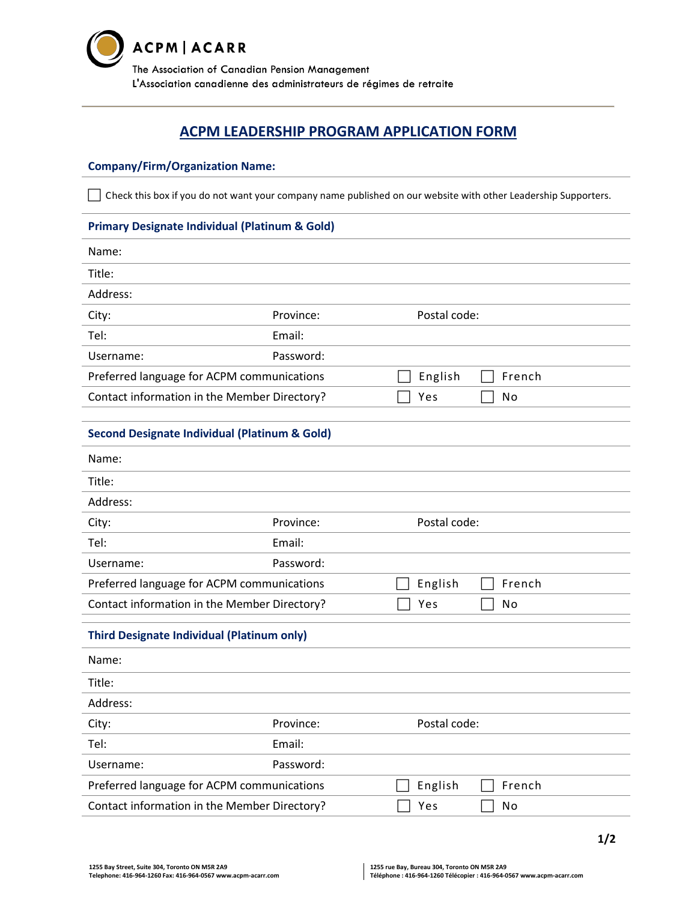

# **ACPM LEADERSHIP PROGRAM APPLICATION FORM**

#### **Company/Firm/Organization Name:**

Check this box if you do not want your company name published on our website with other Leadership Supporters.

#### **Primary Designate Individual (Platinum & Gold)**

| Name:                                                    |           |              |              |        |
|----------------------------------------------------------|-----------|--------------|--------------|--------|
| Title:                                                   |           |              |              |        |
| Address:                                                 |           |              |              |        |
| City:                                                    | Province: |              | Postal code: |        |
| Tel:                                                     | Email:    |              |              |        |
| Username:                                                | Password: |              |              |        |
| Preferred language for ACPM communications               |           |              | English      | French |
| Contact information in the Member Directory?             |           |              | Yes          | No     |
|                                                          |           |              |              |        |
| <b>Second Designate Individual (Platinum &amp; Gold)</b> |           |              |              |        |
| Name:                                                    |           |              |              |        |
| Title:                                                   |           |              |              |        |
| Address:                                                 |           |              |              |        |
| City:                                                    | Province: |              | Postal code: |        |
| Tel:                                                     | Email:    |              |              |        |
| Username:                                                | Password: |              |              |        |
| Preferred language for ACPM communications               |           |              | English      | French |
| Contact information in the Member Directory?             |           |              | Yes          | No     |
| <b>Third Designate Individual (Platinum only)</b>        |           |              |              |        |
| Name:                                                    |           |              |              |        |
| Title:                                                   |           |              |              |        |
| Address:                                                 |           |              |              |        |
| City:                                                    | Province: | Postal code: |              |        |
| Tel:                                                     | Email:    |              |              |        |
| Username:                                                | Password: |              |              |        |
| Preferred language for ACPM communications               |           |              | English      | French |
| Contact information in the Member Directory?             |           |              | Yes          | No     |